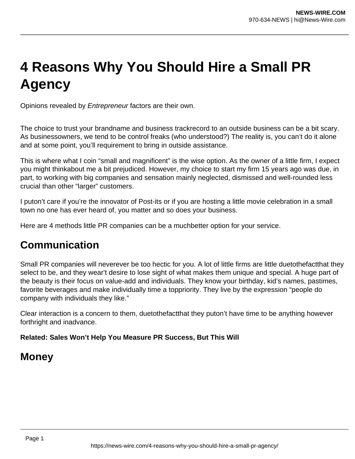# **4 Reasons Why You Should Hire a Small PR Agency**

Opinions revealed by Entrepreneur factors are their own.

The choice to trust your brandname and business trackrecord to an outside business can be a bit scary. As businessowners, we tend to be control freaks (who understood?) The reality is, you can't do it alone and at some point, you'll requirement to bring in outside assistance.

This is where what I coin "small and magnificent" is the wise option. As the owner of a little firm, I expect you might thinkabout me a bit prejudiced. However, my choice to start my firm 15 years ago was due, in part, to working with big companies and sensation mainly neglected, dismissed and well-rounded less crucial than other "larger" customers.

I puton't care if you're the innovator of Post-its or if you are hosting a little movie celebration in a small town no one has ever heard of, you matter and so does your business.

Here are 4 methods little PR companies can be a muchbetter option for your service.

## **Communication**

Small PR companies will neverever be too hectic for you. A lot of little firms are little duetothefactthat they select to be, and they wear't desire to lose sight of what makes them unique and special. A huge part of the beauty is their focus on value-add and individuals. They know your birthday, kid's names, pastimes, favorite beverages and make individually time a toppriority. They live by the expression "people do company with individuals they like."

Clear interaction is a concern to them, duetothefactthat they puton't have time to be anything however forthright and inadvance.

#### **Related: Sales Won't Help You Measure PR Success, But This Will**

### **Money**